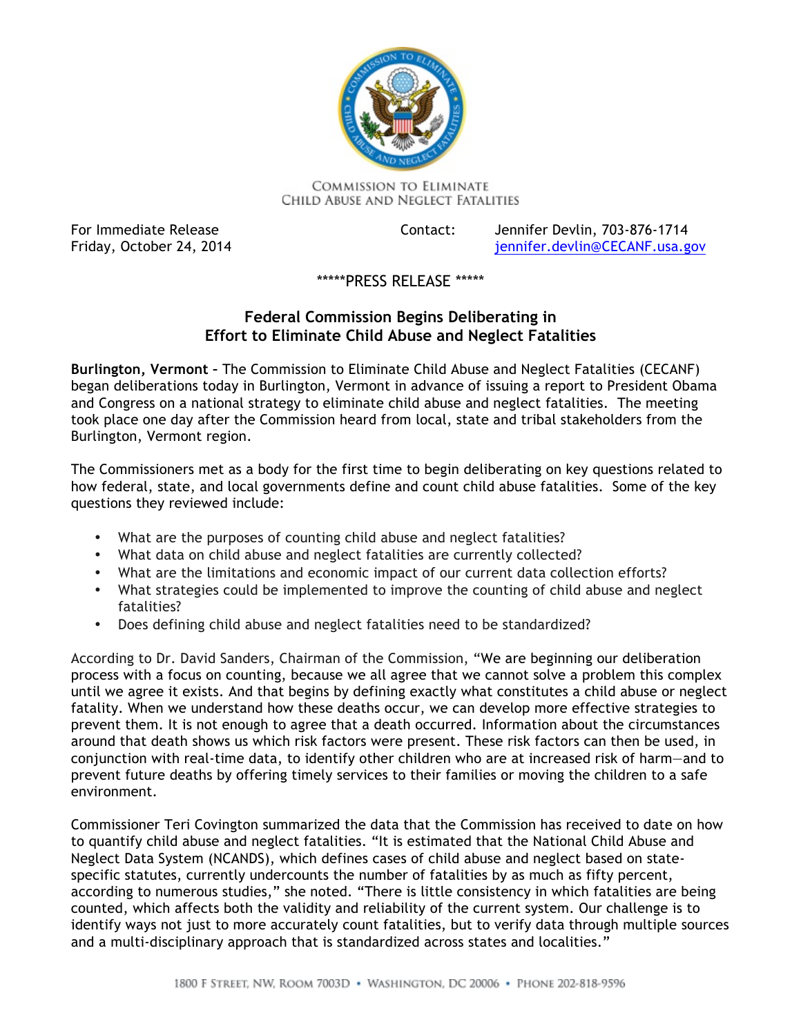

**COMMISSION TO ELIMINATE** CHILD ABUSE AND NEGLECT FATALITIES

For Immediate Release Friday, October 24, 2014 Contact: Jennifer Devlin, 703-876-1714 jennifer.devlin@CECANF.usa.gov

## \*\*\*\*\*PRESS RELEASE \*\*\*\*\*

## **Federal Commission Begins Deliberating in Effort to Eliminate Child Abuse and Neglect Fatalities**

 **Burlington, Vermont –** The Commission to Eliminate Child Abuse and Neglect Fatalities (CECANF) and Congress on a national strategy to eliminate child abuse and neglect fatalities. The meeting took place one day after the Commission heard from local, state and tribal stakeholders from the Burlington, Vermont region. began deliberations today in Burlington, Vermont in advance of issuing a report to President Obama

 The Commissioners met as a body for the first time to begin deliberating on key questions related to how federal, state, and local governments define and count child abuse fatalities. Some of the key questions they reviewed include:

- What are the purposes of counting child abuse and neglect fatalities?
- What data on child abuse and neglect fatalities are currently collected?
- What are the limitations and economic impact of our current data collection efforts?
- What strategies could be implemented to improve the counting of child abuse and neglect fatalities?
- Does defining child abuse and neglect fatalities need to be standardized?

 According to Dr. David Sanders, Chairman of the Commission, "We are beginning our deliberation process with a focus on counting, because we all agree that we cannot solve a problem this complex until we agree it exists. And that begins by defining exactly what constitutes a child abuse or neglect fatality. When we understand how these deaths occur, we can develop more effective strategies to prevent them. It is not enough to agree that a death occurred. Information about the circumstances around that death shows us which risk factors were present. These risk factors can then be used, in conjunction with real-time data, to identify other children who are at increased risk of harm—and to prevent future deaths by offering timely services to their families or moving the children to a safe environment.

 Commissioner Teri Covington summarized the data that the Commission has received to date on how to quantify child abuse and neglect fatalities. "It is estimated that the National Child Abuse and Neglect Data System (NCANDS), which defines cases of child abuse and neglect based on state- specific statutes, currently undercounts the number of fatalities by as much as fifty percent, according to numerous studies," she noted. "There is little consistency in which fatalities are being counted, which affects both the validity and reliability of the current system. Our challenge is to and a multi-disciplinary approach that is standardized across states and localities." identify ways not just to more accurately count fatalities, but to verify data through multiple sources